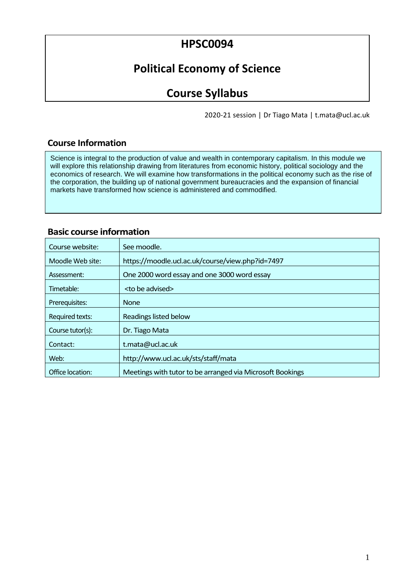# **HPSC0094**

# **Political Economy of Science**

# **Course Syllabus**

2020-21 session | Dr Tiago Mata | t.mata@ucl.ac.uk

## **Course Information**

Science is integral to the production of value and wealth in contemporary capitalism. In this module we will explore this relationship drawing from literatures from economic history, political sociology and the economics of research. We will examine how transformations in the political economy such as the rise of the corporation, the building up of national government bureaucracies and the expansion of financial markets have transformed how science is administered and commodified.

## **Basic course information**

| Course website:        | See moodle.                                               |  |  |
|------------------------|-----------------------------------------------------------|--|--|
| Moodle Web site:       | https://moodle.ucl.ac.uk/course/view.php?id=7497          |  |  |
| Assessment:            | One 2000 word essay and one 3000 word essay               |  |  |
| Timetable:             | <to advised="" be=""></to>                                |  |  |
| Prerequisites:         | None                                                      |  |  |
| <b>Required texts:</b> | Readings listed below                                     |  |  |
| Course tutor(s):       | Dr. Tiago Mata                                            |  |  |
| Contact:               | t.mata@ucl.ac.uk                                          |  |  |
| Web:                   | http://www.ucl.ac.uk/sts/staff/mata                       |  |  |
| Office location:       | Meetings with tutor to be arranged via Microsoft Bookings |  |  |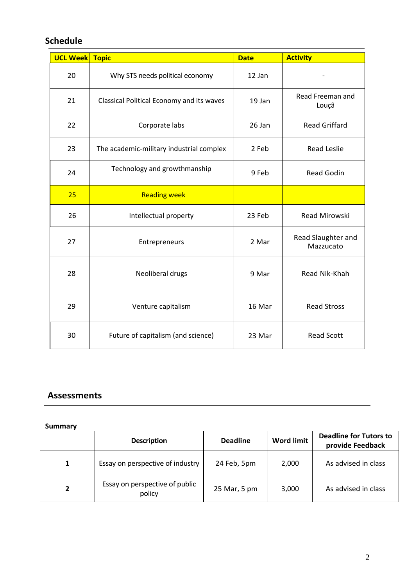## **Schedule**

| <b>UCL Week</b> | <b>Topic</b>                              | <b>Date</b> | <b>Activity</b>                 |
|-----------------|-------------------------------------------|-------------|---------------------------------|
| 20              | Why STS needs political economy           | 12 Jan      |                                 |
| 21              | Classical Political Economy and its waves | 19 Jan      | Read Freeman and<br>Louçã       |
| 22              | Corporate labs                            | 26 Jan      | <b>Read Griffard</b>            |
| 23              | The academic-military industrial complex  | 2 Feb       | <b>Read Leslie</b>              |
| 24              | Technology and growthmanship              | 9 Feb       | <b>Read Godin</b>               |
| 25              | <b>Reading week</b>                       |             |                                 |
| 26              | Intellectual property                     | 23 Feb      | Read Mirowski                   |
| 27              | Entrepreneurs                             | 2 Mar       | Read Slaughter and<br>Mazzucato |
| 28              | Neoliberal drugs                          | 9 Mar       | Read Nik-Khah                   |
| 29              | Venture capitalism                        | 16 Mar      | <b>Read Stross</b>              |
| 30              | Future of capitalism (and science)        | 23 Mar      | <b>Read Scott</b>               |

## **Assessments**

## **Summary**

|   | <b>Description</b>                       | <b>Deadline</b> | <b>Word limit</b> | <b>Deadline for Tutors to</b><br>provide Feedback |
|---|------------------------------------------|-----------------|-------------------|---------------------------------------------------|
| 1 | Essay on perspective of industry         | 24 Feb, 5pm     | 2,000             | As advised in class                               |
|   | Essay on perspective of public<br>policy | 25 Mar, 5 pm    | 3,000             | As advised in class                               |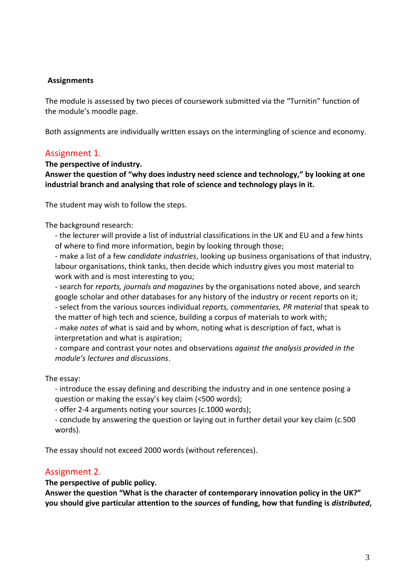## **Assignments**

The module is assessed by two pieces of coursework submitted via the "Turnitin" function of the module's moodle page.

Both assignments are individually written essays on the intermingling of science and economy.

## Assignment 1.

#### **The perspective of industry.**

**Answer the question of "why does industry need science and technology," by looking at one industrial branch and analysing that role of science and technology plays in it.** 

The student may wish to follow the steps.

The background research:

- the lecturer will provide a list of industrial classifications in the UK and EU and a few hints of where to find more information, begin by looking through those;

- make a list of a few *candidate industries*, looking up business organisations of that industry, labour organisations, think tanks, then decide which industry gives you most material to work with and is most interesting to you;

- search for *reports, journals and magazines* by the organisations noted above, and search google scholar and other databases for any history of the industry or recent reports on it; - select from the various sources individual *reports, commentaries, PR material* that speak to the matter of high tech and science, building a corpus of materials to work with;

- make *notes* of what is said and by whom, noting what is description of fact, what is interpretation and what is aspiration;

- compare and contrast your notes and observations *against the analysis provided in the module's lectures and discussions*.

The essay:

- introduce the essay defining and describing the industry and in one sentence posing a question or making the essay's key claim (<500 words);

- offer 2-4 arguments noting your sources (c.1000 words);

- conclude by answering the question or laying out in further detail your key claim (c.500 words).

The essay should not exceed 2000 words (without references).

## Assignment 2.

## **The perspective of public policy.**

**Answer the question "What is the character of contemporary innovation policy in the UK?" you should give particular attention to the** *sources* **of funding, how that funding is** *distributed***,**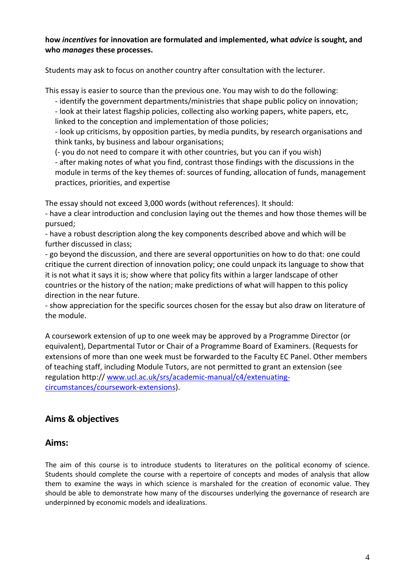#### **how** *incentives* **for innovation are formulated and implemented, what** *advice* **is sought, and who** *manages* **these processes.**

Students may ask to focus on another country after consultation with the lecturer.

This essay is easier to source than the previous one. You may wish to do the following:

- identify the government departments/ministries that shape public policy on innovation;

- look at their latest flagship policies, collecting also working papers, white papers, etc, linked to the conception and implementation of those policies;

- look up criticisms, by opposition parties, by media pundits, by research organisations and think tanks, by business and labour organisations;

(- you do not need to compare it with other countries, but you can if you wish)

- after making notes of what you find, contrast those findings with the discussions in the module in terms of the key themes of: sources of funding, allocation of funds, management practices, priorities, and expertise

The essay should not exceed 3,000 words (without references). It should:

- have a clear introduction and conclusion laying out the themes and how those themes will be pursued;

- have a robust description along the key components described above and which will be further discussed in class;

- go beyond the discussion, and there are several opportunities on how to do that: one could critique the current direction of innovation policy; one could unpack its language to show that it is not what it says it is; show where that policy fits within a larger landscape of other countries or the history of the nation; make predictions of what will happen to this policy direction in the near future.

- show appreciation for the specific sources chosen for the essay but also draw on literature of the module.

A coursework extension of up to one week may be approved by a Programme Director (or equivalent), Departmental Tutor or Chair of a Programme Board of Examiners. (Requests for extensions of more than one week must be forwarded to the Faculty EC Panel. Other members of teaching staff, including Module Tutors, are not permitted to grant an extension (see regulation http:// [www.ucl.ac.uk/srs/academic-manual/c4/extenuating](http://www.ucl.ac.uk/srs/academic-manual/c4/extenuating-circumstances/coursework-extensions)[circumstances/coursework-extensions\)](http://www.ucl.ac.uk/srs/academic-manual/c4/extenuating-circumstances/coursework-extensions).

## **Aims & objectives**

## **Aims:**

The aim of this course is to introduce students to literatures on the political economy of science. Students should complete the course with a repertoire of concepts and modes of analysis that allow them to examine the ways in which science is marshaled for the creation of economic value. They should be able to demonstrate how many of the discourses underlying the governance of research are underpinned by economic models and idealizations.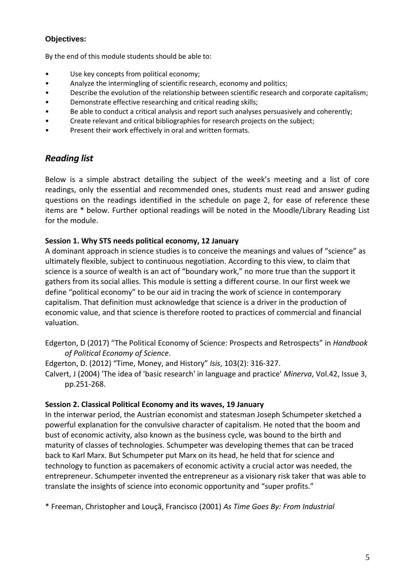## **Objectives:**

By the end of this module students should be able to:

- Use key concepts from political economy;
- Analyze the intermingling of scientific research, economy and politics;
- Describe the evolution of the relationship between scientific research and corporate capitalism;
- Demonstrate effective researching and critical reading skills;
- Be able to conduct a critical analysis and report such analyses persuasively and coherently:
- Create relevant and critical bibliographies for research projects on the subject;
- Present their work effectively in oral and written formats.

## *Reading list*

Below is a simple abstract detailing the subject of the week's meeting and a list of core readings, only the essential and recommended ones, students must read and answer guding questions on the readings identified in the schedule on page 2, for ease of reference these items are \* below. Further optional readings will be noted in the Moodle/Library Reading List for the module.

## **Session 1. Why STS needs political economy, 12 January**

A dominant approach in science studies is to conceive the meanings and values of "science" as ultimately flexible, subject to continuous negotiation. According to this view, to claim that science is a source of wealth is an act of "boundary work," no more true than the support it gathers from its social allies. This module is setting a different course. In our first week we define "political economy" to be our aid in tracing the work of science in contemporary capitalism. That definition must acknowledge that science is a driver in the production of economic value, and that science is therefore rooted to practices of commercial and financial valuation.

Edgerton, D (2017) "The Political Economy of Science: Prospects and Retrospects" in *Handbook of Political Economy of Science*.

Edgerton, D. (2012) "Time, Money, and History" *Isis*, 103(2): 316-327.

Calvert, J (2004) 'The idea of 'basic research' in language and practice' *Minerva*, Vol.42, Issue 3, pp.251-268.

## **Session 2. Classical Political Economy and its waves, 19 January**

In the interwar period, the Austrian economist and statesman Joseph Schumpeter sketched a powerful explanation for the convulsive character of capitalism. He noted that the boom and bust of economic activity, also known as the business cycle, was bound to the birth and maturity of classes of technologies. Schumpeter was developing themes that can be traced back to Karl Marx. But Schumpeter put Marx on its head, he held that for science and technology to function as pacemakers of economic activity a crucial actor was needed, the entrepreneur. Schumpeter invented the entrepreneur as a visionary risk taker that was able to translate the insights of science into economic opportunity and "super profits."

\* Freeman, Christopher and Louçã, Francisco (2001) *As Time Goes By: From Industrial*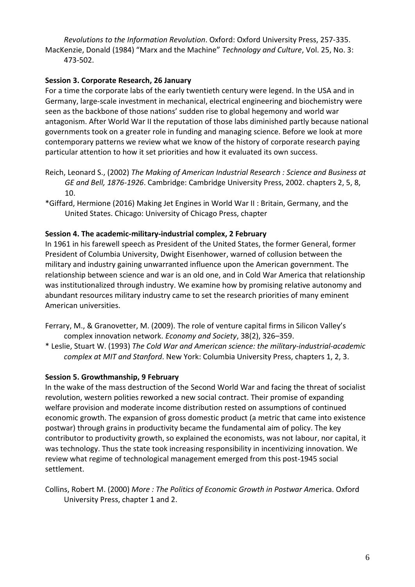*Revolutions to the Information Revolution*. Oxford: Oxford University Press, 257-335. MacKenzie, Donald (1984) "Marx and the Machine" *Technology and Culture*, Vol. 25, No. 3: 473-502.

#### **Session 3. Corporate Research, 26 January**

For a time the corporate labs of the early twentieth century were legend. In the USA and in Germany, large-scale investment in mechanical, electrical engineering and biochemistry were seen as the backbone of those nations' sudden rise to global hegemony and world war antagonism. After World War II the reputation of those labs diminished partly because national governments took on a greater role in funding and managing science. Before we look at more contemporary patterns we review what we know of the history of corporate research paying particular attention to how it set priorities and how it evaluated its own success.

- Reich, Leonard S., (2002) *The Making of American Industrial Research : Science and Business at GE and Bell, 1876-1926*. Cambridge: Cambridge University Press, 2002. chapters 2, 5, 8, 10.
- \*Giffard, Hermione (2016) Making Jet Engines in World War II : Britain, Germany, and the United States. Chicago: University of Chicago Press, chapter

#### **Session 4. The academic-military-industrial complex, 2 February**

In 1961 in his farewell speech as President of the United States, the former General, former President of Columbia University, Dwight Eisenhower, warned of collusion between the military and industry gaining unwarranted influence upon the American government. The relationship between science and war is an old one, and in Cold War America that relationship was institutionalized through industry. We examine how by promising relative autonomy and abundant resources military industry came to set the research priorities of many eminent American universities.

- Ferrary, M., & Granovetter, M. (2009). The role of venture capital firms in Silicon Valley's complex innovation network. *Economy and Society*, 38(2), 326–359.
- \* Leslie, Stuart W. (1993) *The Cold War and American science: the military-industrial-academic complex at MIT and Stanford*. New York: Columbia University Press, chapters 1, 2, 3.

#### **Session 5. Growthmanship, 9 February**

In the wake of the mass destruction of the Second World War and facing the threat of socialist revolution, western polities reworked a new social contract. Their promise of expanding welfare provision and moderate income distribution rested on assumptions of continued economic growth. The expansion of gross domestic product (a metric that came into existence postwar) through grains in productivity became the fundamental aim of policy. The key contributor to productivity growth, so explained the economists, was not labour, nor capital, it was technology. Thus the state took increasing responsibility in incentivizing innovation. We review what regime of technological management emerged from this post-1945 social settlement.

Collins, Robert M. (2000) *More : The Politics of Economic Growth in Postwar Ame*rica. Oxford University Press, chapter 1 and 2.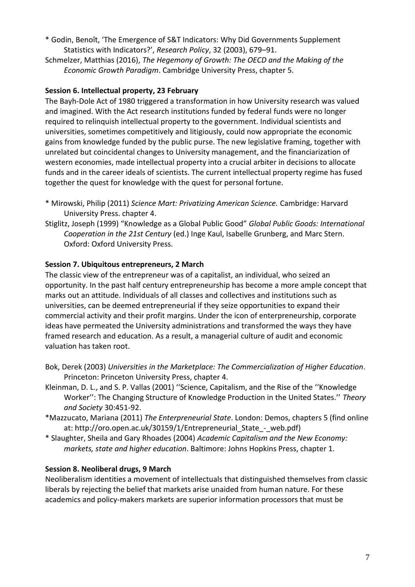- \* Godin, Benoît, 'The Emergence of S&T Indicators: Why Did Governments Supplement Statistics with Indicators?', *Research Policy*, 32 (2003), 679–91.
- Schmelzer, Matthias (2016), *The Hegemony of Growth: The OECD and the Making of the Economic Growth Paradigm*. Cambridge University Press, chapter 5.

## **Session 6. Intellectual property, 23 February**

The Bayh-Dole Act of 1980 triggered a transformation in how University research was valued and imagined. With the Act research institutions funded by federal funds were no longer required to relinquish intellectual property to the government. Individual scientists and universities, sometimes competitively and litigiously, could now appropriate the economic gains from knowledge funded by the public purse. The new legislative framing, together with unrelated but coincidental changes to University management, and the financiarization of western economies, made intellectual property into a crucial arbiter in decisions to allocate funds and in the career ideals of scientists. The current intellectual property regime has fused together the quest for knowledge with the quest for personal fortune.

- \* Mirowski, Philip (2011) *Science Mart: Privatizing American Science.* Cambridge: Harvard University Press. chapter 4.
- Stiglitz, Joseph (1999) "Knowledge as a Global Public Good" *Global Public Goods: International Cooperation in the 21st Century* (ed.) Inge Kaul, Isabelle Grunberg, and Marc Stern. Oxford: Oxford University Press.

## **Session 7. Ubiquitous entrepreneurs, 2 March**

The classic view of the entrepreneur was of a capitalist, an individual, who seized an opportunity. In the past half century entrepreneurship has become a more ample concept that marks out an attitude. Individuals of all classes and collectives and institutions such as universities, can be deemed entrepreneurial if they seize opportunities to expand their commercial activity and their profit margins. Under the icon of enterpreneurship, corporate ideas have permeated the University administrations and transformed the ways they have framed research and education. As a result, a managerial culture of audit and economic valuation has taken root.

- Bok, Derek (2003) *Universities in the Marketplace: The Commercialization of Higher Education*. Princeton: Princeton University Press, chapter 4.
- Kleinman, D. L., and S. P. Vallas (2001) ''Science, Capitalism, and the Rise of the ''Knowledge Worker'': The Changing Structure of Knowledge Production in the United States.'' *Theory and Society* 30:451-92.
- \*Mazzucato, Mariana (2011) *The Enterpreneurial State*. London: Demos, chapters 5 (find online at: http://oro.open.ac.uk/30159/1/Entrepreneurial State - web.pdf)
- \* Slaughter, Sheila and Gary Rhoades (2004) *Academic Capitalism and the New Economy: markets, state and higher education*. Baltimore: Johns Hopkins Press, chapter 1.

## **Session 8. Neoliberal drugs, 9 March**

Neoliberalism identities a movement of intellectuals that distinguished themselves from classic liberals by rejecting the belief that markets arise unaided from human nature. For these academics and policy-makers markets are superior information processors that must be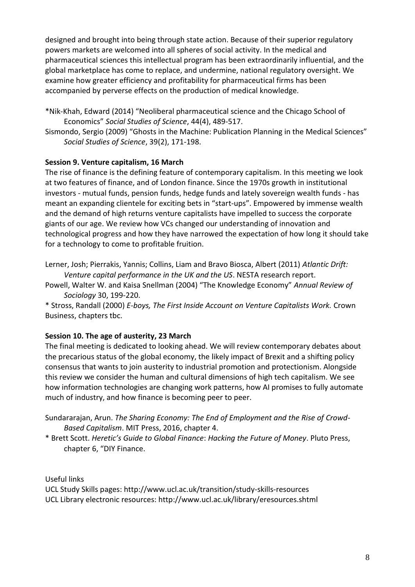designed and brought into being through state action. Because of their superior regulatory powers markets are welcomed into all spheres of social activity. In the medical and pharmaceutical sciences this intellectual program has been extraordinarily influential, and the global marketplace has come to replace, and undermine, national regulatory oversight. We examine how greater efficiency and profitability for pharmaceutical firms has been accompanied by perverse effects on the production of medical knowledge.

- \*Nik-Khah, Edward (2014) "Neoliberal pharmaceutical science and the Chicago School of Economics" *Social Studies of Science*, 44(4), 489-517.
- Sismondo, Sergio (2009) "Ghosts in the Machine: Publication Planning in the Medical Sciences" *Social Studies of Science*, 39(2), 171-198.

## **Session 9. Venture capitalism, 16 March**

The rise of finance is the defining feature of contemporary capitalism. In this meeting we look at two features of finance, and of London finance. Since the 1970s growth in institutional investors - mutual funds, pension funds, hedge funds and lately sovereign wealth funds - has meant an expanding clientele for exciting bets in "start-ups". Empowered by immense wealth and the demand of high returns venture capitalists have impelled to success the corporate giants of our age. We review how VCs changed our understanding of innovation and technological progress and how they have narrowed the expectation of how long it should take for a technology to come to profitable fruition.

Lerner, Josh; Pierrakis, Yannis; Collins, Liam and Bravo Biosca, Albert (2011) *Atlantic Drift: Venture capital performance in the UK and the US*. NESTA research report.

Powell, Walter W. and Kaisa Snellman (2004) "The Knowledge Economy" *Annual Review of Sociology* 30, 199-220.

\* Stross, Randall (2000) *E-boys, The First Inside Account on Venture Capitalists Work.* Crown Business, chapters tbc.

## **Session 10. The age of austerity, 23 March**

The final meeting is dedicated to looking ahead. We will review contemporary debates about the precarious status of the global economy, the likely impact of Brexit and a shifting policy consensus that wants to join austerity to industrial promotion and protectionism. Alongside this review we consider the human and cultural dimensions of high tech capitalism. We see how information technologies are changing work patterns, how AI promises to fully automate much of industry, and how finance is becoming peer to peer.

\* Brett Scott. *Heretic's Guide to Global Finance*: *Hacking the Future of Money*. Pluto Press, chapter 6, "DIY Finance.

Useful links

UCL Study Skills pages: http://www.ucl.ac.uk/transition/study-skills-resources UCL Library electronic resources: http://www.ucl.ac.uk/library/eresources.shtml

Sundararajan, Arun. *The Sharing Economy: The End of Employment and the Rise of Crowd-Based Capitalism*. MIT Press, 2016, chapter 4.